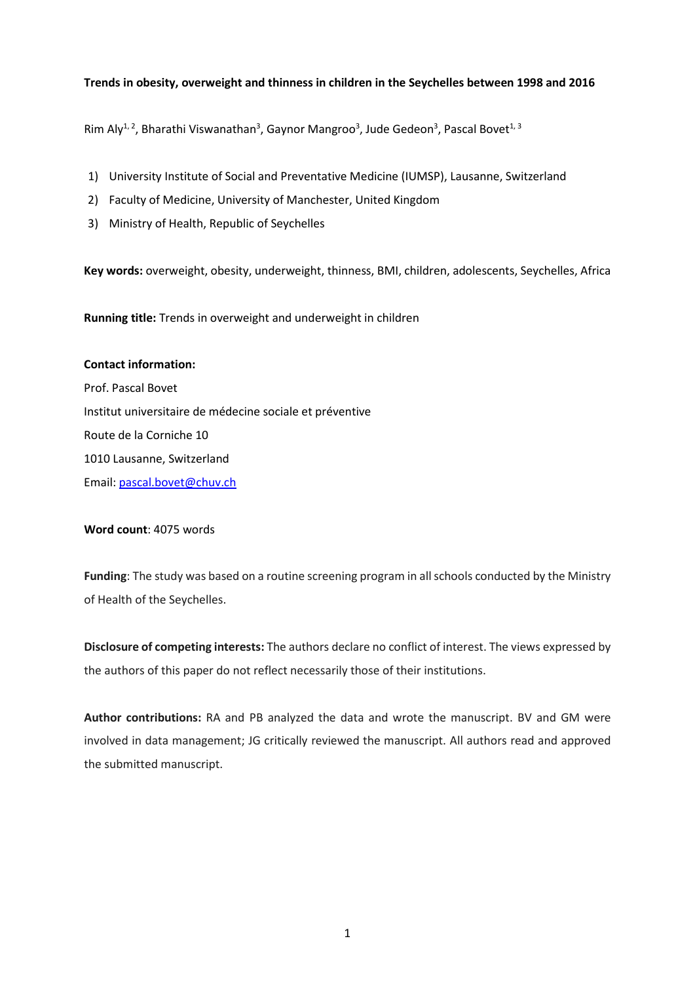# **Trends in obesity, overweight and thinness in children in the Seychelles between 1998 and 2016**

Rim Aly<sup>1,2</sup>, Bharathi Viswanathan<sup>3</sup>, Gaynor Mangroo<sup>3</sup>, Jude Gedeon<sup>3</sup>, Pascal Bovet<sup>1,3</sup>

- 1) University Institute of Social and Preventative Medicine (IUMSP), Lausanne, Switzerland
- 2) Faculty of Medicine, University of Manchester, United Kingdom
- 3) Ministry of Health, Republic of Seychelles

**Key words:** overweight, obesity, underweight, thinness, BMI, children, adolescents, Seychelles, Africa

**Running title:** Trends in overweight and underweight in children

### **Contact information:**

Prof. Pascal Bovet Institut universitaire de médecine sociale et préventive Route de la Corniche 10 1010 Lausanne, Switzerland Email: [pascal.bovet@chuv.ch](mailto:pascal.bovet@chuv.ch)

### **Word count**: 4075 words

**Funding**: The study was based on a routine screening program in all schools conducted by the Ministry of Health of the Seychelles.

**Disclosure of competing interests:** The authors declare no conflict of interest. The views expressed by the authors of this paper do not reflect necessarily those of their institutions.

**Author contributions:** RA and PB analyzed the data and wrote the manuscript. BV and GM were involved in data management; JG critically reviewed the manuscript. All authors read and approved the submitted manuscript.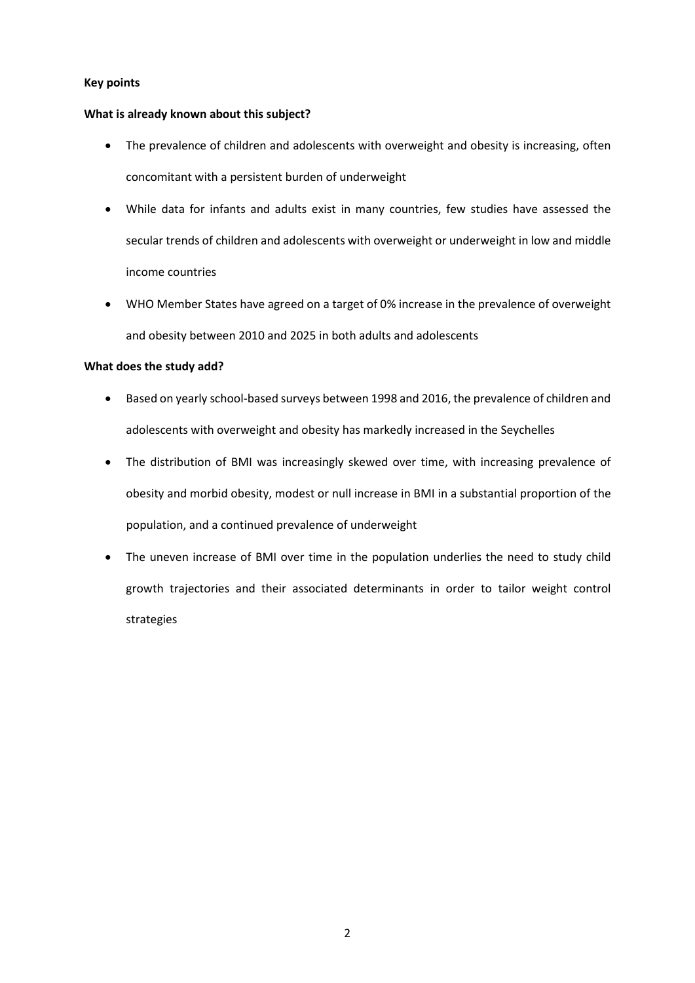## **Key points**

# **What is already known about this subject?**

- The prevalence of children and adolescents with overweight and obesity is increasing, often concomitant with a persistent burden of underweight
- While data for infants and adults exist in many countries, few studies have assessed the secular trends of children and adolescents with overweight or underweight in low and middle income countries
- WHO Member States have agreed on a target of 0% increase in the prevalence of overweight and obesity between 2010 and 2025 in both adults and adolescents

# **What does the study add?**

- Based on yearly school-based surveys between 1998 and 2016, the prevalence of children and adolescents with overweight and obesity has markedly increased in the Seychelles
- The distribution of BMI was increasingly skewed over time, with increasing prevalence of obesity and morbid obesity, modest or null increase in BMI in a substantial proportion of the population, and a continued prevalence of underweight
- The uneven increase of BMI over time in the population underlies the need to study child growth trajectories and their associated determinants in order to tailor weight control strategies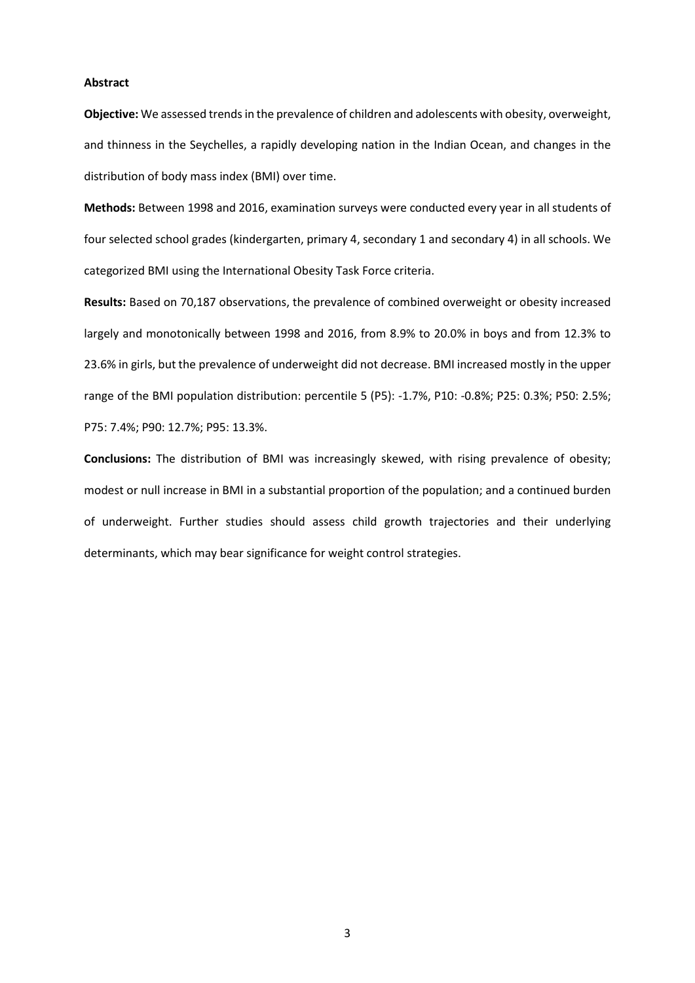## **Abstract**

**Objective:** We assessed trends in the prevalence of children and adolescents with obesity, overweight, and thinness in the Seychelles, a rapidly developing nation in the Indian Ocean, and changes in the distribution of body mass index (BMI) over time.

**Methods:** Between 1998 and 2016, examination surveys were conducted every year in all students of four selected school grades (kindergarten, primary 4, secondary 1 and secondary 4) in all schools. We categorized BMI using the International Obesity Task Force criteria.

**Results:** Based on 70,187 observations, the prevalence of combined overweight or obesity increased largely and monotonically between 1998 and 2016, from 8.9% to 20.0% in boys and from 12.3% to 23.6% in girls, but the prevalence of underweight did not decrease. BMI increased mostly in the upper range of the BMI population distribution: percentile 5 (P5): -1.7%, P10: -0.8%; P25: 0.3%; P50: 2.5%; P75: 7.4%; P90: 12.7%; P95: 13.3%.

**Conclusions:** The distribution of BMI was increasingly skewed, with rising prevalence of obesity; modest or null increase in BMI in a substantial proportion of the population; and a continued burden of underweight. Further studies should assess child growth trajectories and their underlying determinants, which may bear significance for weight control strategies.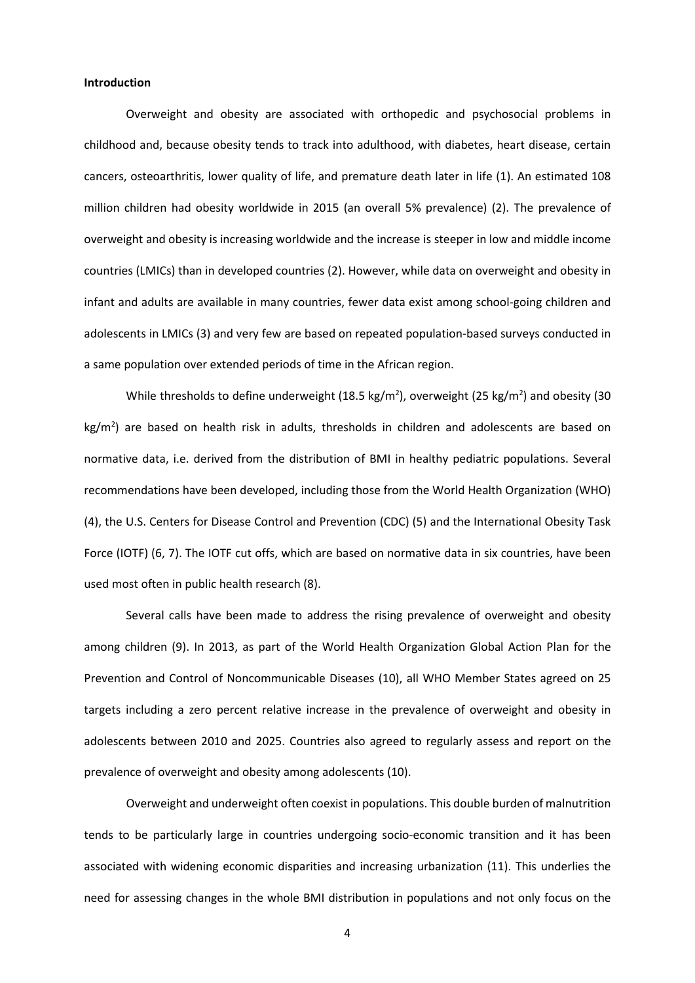## **Introduction**

Overweight and obesity are associated with orthopedic and psychosocial problems in childhood and, because obesity tends to track into adulthood, with diabetes, heart disease, certain cancers, osteoarthritis, lower quality of life, and premature death later in life (1). An estimated 108 million children had obesity worldwide in 2015 (an overall 5% prevalence) (2). The prevalence of overweight and obesity is increasing worldwide and the increase is steeper in low and middle income countries (LMICs) than in developed countries (2). However, while data on overweight and obesity in infant and adults are available in many countries, fewer data exist among school-going children and adolescents in LMICs (3) and very few are based on repeated population-based surveys conducted in a same population over extended periods of time in the African region.

While thresholds to define underweight (18.5 kg/m<sup>2</sup>), overweight (25 kg/m<sup>2</sup>) and obesity (30  $\text{kg/m}^2$ ) are based on health risk in adults, thresholds in children and adolescents are based on normative data, i.e. derived from the distribution of BMI in healthy pediatric populations. Several recommendations have been developed, including those from the World Health Organization (WHO) (4), the U.S. Centers for Disease Control and Prevention (CDC) (5) and the International Obesity Task Force (IOTF) (6, 7). The IOTF cut offs, which are based on normative data in six countries, have been used most often in public health research (8).

Several calls have been made to address the rising prevalence of overweight and obesity among children (9). In 2013, as part of the World Health Organization Global Action Plan for the Prevention and Control of Noncommunicable Diseases (10), all WHO Member States agreed on 25 targets including a zero percent relative increase in the prevalence of overweight and obesity in adolescents between 2010 and 2025. Countries also agreed to regularly assess and report on the prevalence of overweight and obesity among adolescents (10).

Overweight and underweight often coexist in populations. This double burden of malnutrition tends to be particularly large in countries undergoing socio-economic transition and it has been associated with widening economic disparities and increasing urbanization (11). This underlies the need for assessing changes in the whole BMI distribution in populations and not only focus on the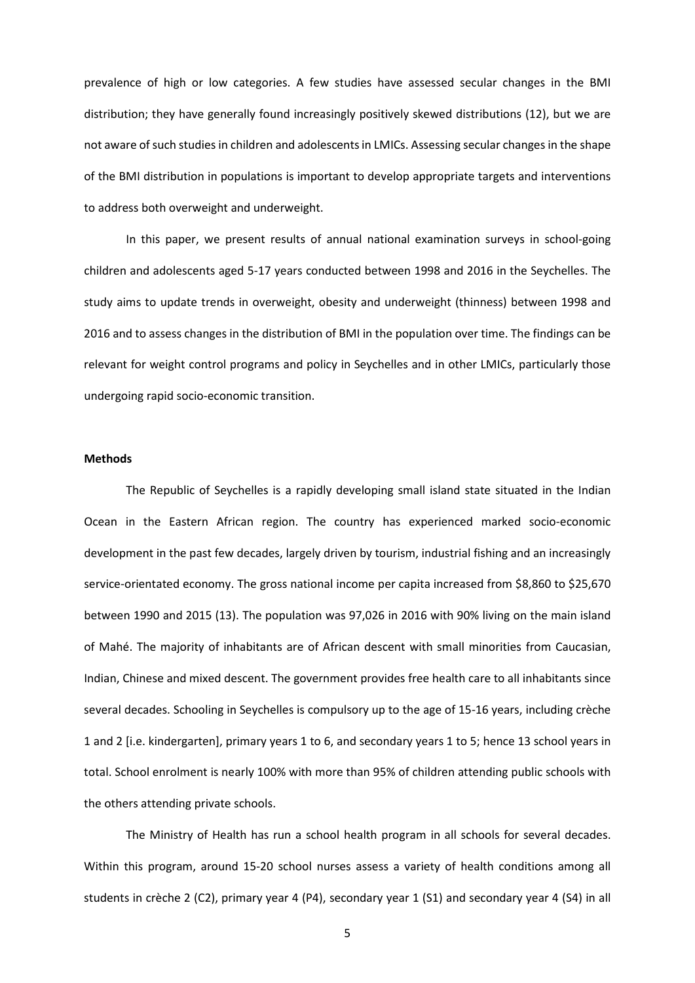prevalence of high or low categories. A few studies have assessed secular changes in the BMI distribution; they have generally found increasingly positively skewed distributions (12), but we are not aware of such studies in children and adolescents in LMICs. Assessing secular changes in the shape of the BMI distribution in populations is important to develop appropriate targets and interventions to address both overweight and underweight.

In this paper, we present results of annual national examination surveys in school-going children and adolescents aged 5-17 years conducted between 1998 and 2016 in the Seychelles. The study aims to update trends in overweight, obesity and underweight (thinness) between 1998 and 2016 and to assess changes in the distribution of BMI in the population over time. The findings can be relevant for weight control programs and policy in Seychelles and in other LMICs, particularly those undergoing rapid socio-economic transition.

### **Methods**

The Republic of Seychelles is a rapidly developing small island state situated in the Indian Ocean in the Eastern African region. The country has experienced marked socio-economic development in the past few decades, largely driven by tourism, industrial fishing and an increasingly service-orientated economy. The gross national income per capita increased from \$8,860 to \$25,670 between 1990 and 2015 (13). The population was 97,026 in 2016 with 90% living on the main island of Mahé. The majority of inhabitants are of African descent with small minorities from Caucasian, Indian, Chinese and mixed descent. The government provides free health care to all inhabitants since several decades. Schooling in Seychelles is compulsory up to the age of 15-16 years, including crèche 1 and 2 [i.e. kindergarten], primary years 1 to 6, and secondary years 1 to 5; hence 13 school years in total. School enrolment is nearly 100% with more than 95% of children attending public schools with the others attending private schools.

The Ministry of Health has run a school health program in all schools for several decades. Within this program, around 15-20 school nurses assess a variety of health conditions among all students in crèche 2 (C2), primary year 4 (P4), secondary year 1 (S1) and secondary year 4 (S4) in all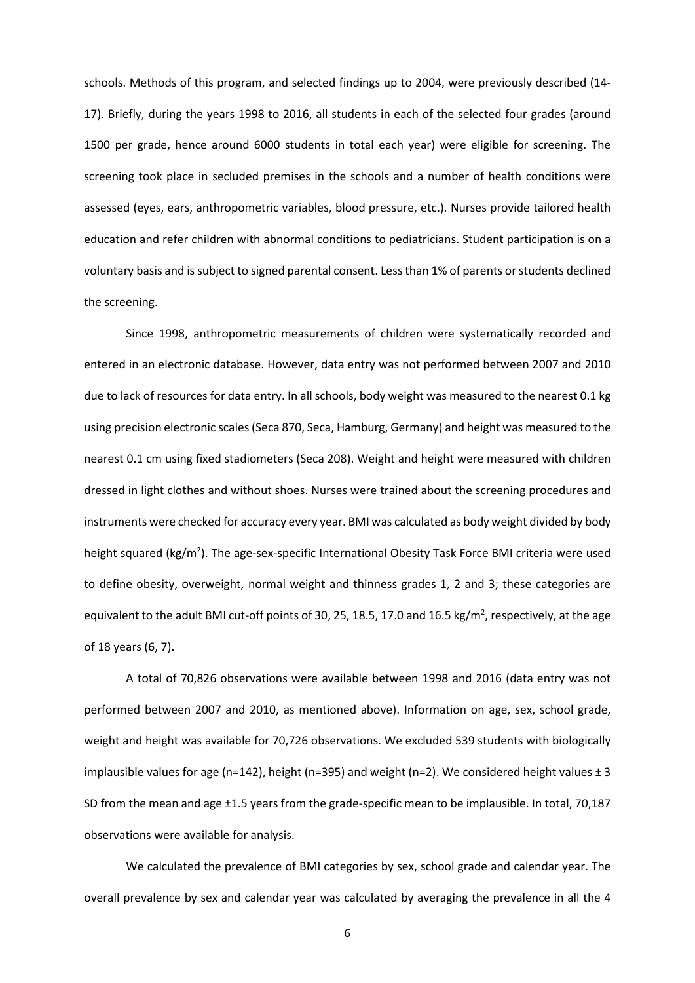schools. Methods of this program, and selected findings up to 2004, were previously described (14- 17). Briefly, during the years 1998 to 2016, all students in each of the selected four grades (around 1500 per grade, hence around 6000 students in total each year) were eligible for screening. The screening took place in secluded premises in the schools and a number of health conditions were assessed (eyes, ears, anthropometric variables, blood pressure, etc.). Nurses provide tailored health education and refer children with abnormal conditions to pediatricians. Student participation is on a voluntary basis and is subject to signed parental consent. Less than 1% of parents orstudents declined the screening.

Since 1998, anthropometric measurements of children were systematically recorded and entered in an electronic database. However, data entry was not performed between 2007 and 2010 due to lack of resources for data entry. In all schools, body weight was measured to the nearest 0.1 kg using precision electronic scales (Seca 870, Seca, Hamburg, Germany) and height was measured to the nearest 0.1 cm using fixed stadiometers (Seca 208). Weight and height were measured with children dressed in light clothes and without shoes. Nurses were trained about the screening procedures and instruments were checked for accuracy every year. BMI was calculated as body weight divided by body height squared (kg/m<sup>2</sup>). The age-sex-specific International Obesity Task Force BMI criteria were used to define obesity, overweight, normal weight and thinness grades 1, 2 and 3; these categories are equivalent to the adult BMI cut-off points of 30, 25, 18.5, 17.0 and 16.5 kg/m<sup>2</sup>, respectively, at the age of 18 years (6, 7).

A total of 70,826 observations were available between 1998 and 2016 (data entry was not performed between 2007 and 2010, as mentioned above). Information on age, sex, school grade, weight and height was available for 70,726 observations. We excluded 539 students with biologically implausible values for age (n=142), height (n=395) and weight (n=2). We considered height values  $\pm 3$ SD from the mean and age ±1.5 years from the grade-specific mean to be implausible. In total, 70,187 observations were available for analysis.

We calculated the prevalence of BMI categories by sex, school grade and calendar year. The overall prevalence by sex and calendar year was calculated by averaging the prevalence in all the 4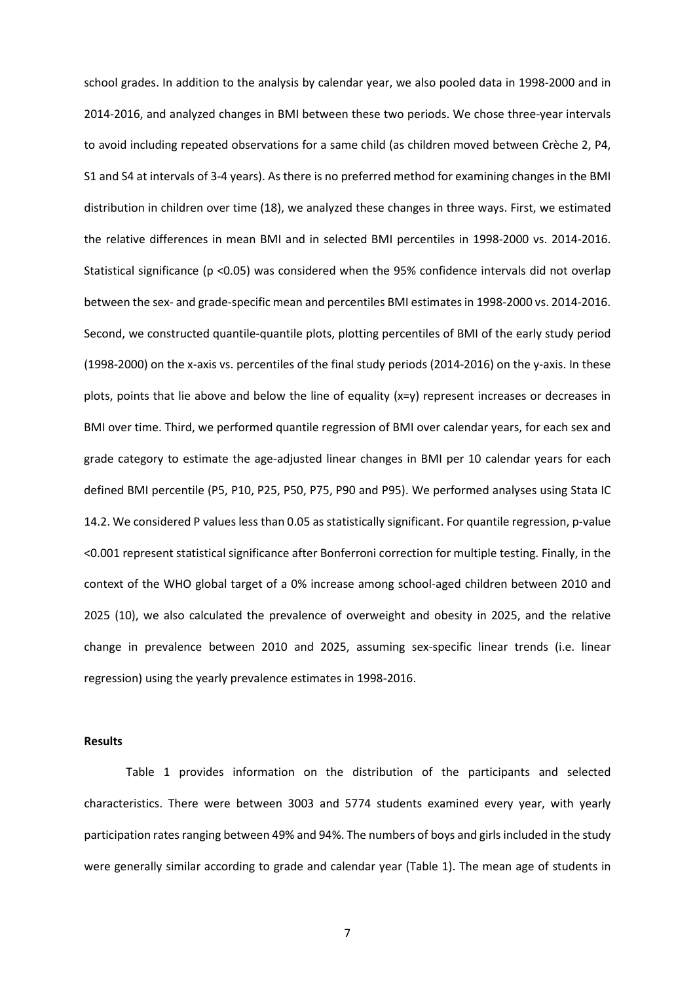school grades. In addition to the analysis by calendar year, we also pooled data in 1998-2000 and in 2014-2016, and analyzed changes in BMI between these two periods. We chose three-year intervals to avoid including repeated observations for a same child (as children moved between Crèche 2, P4, S1 and S4 at intervals of 3-4 years). As there is no preferred method for examining changes in the BMI distribution in children over time (18), we analyzed these changes in three ways. First, we estimated the relative differences in mean BMI and in selected BMI percentiles in 1998-2000 vs. 2014-2016. Statistical significance (p <0.05) was considered when the 95% confidence intervals did not overlap between the sex- and grade-specific mean and percentiles BMI estimates in 1998-2000 vs. 2014-2016. Second, we constructed quantile-quantile plots, plotting percentiles of BMI of the early study period (1998-2000) on the x-axis vs. percentiles of the final study periods (2014-2016) on the y-axis. In these plots, points that lie above and below the line of equality (x=y) represent increases or decreases in BMI over time. Third, we performed quantile regression of BMI over calendar years, for each sex and grade category to estimate the age-adjusted linear changes in BMI per 10 calendar years for each defined BMI percentile (P5, P10, P25, P50, P75, P90 and P95). We performed analyses using Stata IC 14.2. We considered P values less than 0.05 as statistically significant. For quantile regression, p-value <0.001 represent statistical significance after Bonferroni correction for multiple testing. Finally, in the context of the WHO global target of a 0% increase among school-aged children between 2010 and 2025 (10), we also calculated the prevalence of overweight and obesity in 2025, and the relative change in prevalence between 2010 and 2025, assuming sex-specific linear trends (i.e. linear regression) using the yearly prevalence estimates in 1998-2016.

#### **Results**

Table 1 provides information on the distribution of the participants and selected characteristics. There were between 3003 and 5774 students examined every year, with yearly participation rates ranging between 49% and 94%. The numbers of boys and girls included in the study were generally similar according to grade and calendar year (Table 1). The mean age of students in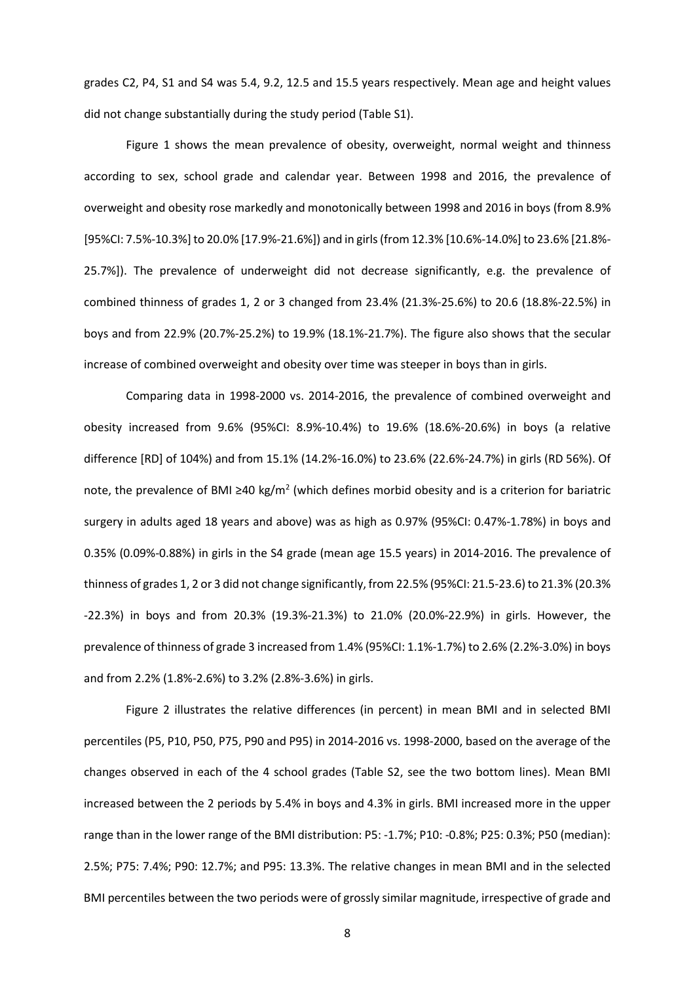grades C2, P4, S1 and S4 was 5.4, 9.2, 12.5 and 15.5 years respectively. Mean age and height values did not change substantially during the study period (Table S1).

Figure 1 shows the mean prevalence of obesity, overweight, normal weight and thinness according to sex, school grade and calendar year. Between 1998 and 2016, the prevalence of overweight and obesity rose markedly and monotonically between 1998 and 2016 in boys (from 8.9% [95%CI: 7.5%-10.3%] to 20.0% [17.9%-21.6%]) and in girls (from 12.3% [10.6%-14.0%] to 23.6% [21.8%-25.7%]). The prevalence of underweight did not decrease significantly, e.g. the prevalence of combined thinness of grades 1, 2 or 3 changed from 23.4% (21.3%-25.6%) to 20.6 (18.8%-22.5%) in boys and from 22.9% (20.7%-25.2%) to 19.9% (18.1%-21.7%). The figure also shows that the secular increase of combined overweight and obesity over time was steeper in boys than in girls.

Comparing data in 1998-2000 vs. 2014-2016, the prevalence of combined overweight and obesity increased from 9.6% (95%CI: 8.9%-10.4%) to 19.6% (18.6%-20.6%) in boys (a relative difference [RD] of 104%) and from 15.1% (14.2%-16.0%) to 23.6% (22.6%-24.7%) in girls (RD 56%). Of note, the prevalence of BMI ≥40 kg/m<sup>2</sup> (which defines morbid obesity and is a criterion for bariatric surgery in adults aged 18 years and above) was as high as 0.97% (95%CI: 0.47%-1.78%) in boys and 0.35% (0.09%-0.88%) in girls in the S4 grade (mean age 15.5 years) in 2014-2016. The prevalence of thinness of grades 1, 2 or 3 did not change significantly, from 22.5% (95%CI: 21.5-23.6) to 21.3% (20.3% -22.3%) in boys and from 20.3% (19.3%-21.3%) to 21.0% (20.0%-22.9%) in girls. However, the prevalence of thinness of grade 3 increased from 1.4% (95%CI: 1.1%-1.7%) to 2.6% (2.2%-3.0%) in boys and from 2.2% (1.8%-2.6%) to 3.2% (2.8%-3.6%) in girls.

Figure 2 illustrates the relative differences (in percent) in mean BMI and in selected BMI percentiles (P5, P10, P50, P75, P90 and P95) in 2014-2016 vs. 1998-2000, based on the average of the changes observed in each of the 4 school grades (Table S2, see the two bottom lines). Mean BMI increased between the 2 periods by 5.4% in boys and 4.3% in girls. BMI increased more in the upper range than in the lower range of the BMI distribution: P5: -1.7%; P10: -0.8%; P25: 0.3%; P50 (median): 2.5%; P75: 7.4%; P90: 12.7%; and P95: 13.3%. The relative changes in mean BMI and in the selected BMI percentiles between the two periods were of grossly similar magnitude, irrespective of grade and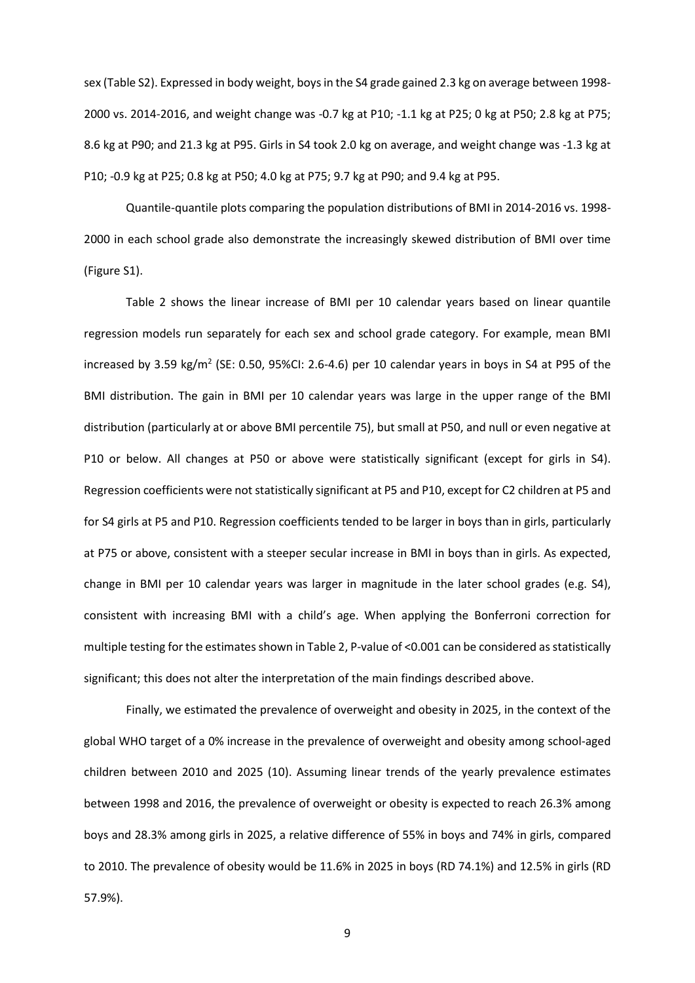sex (Table S2). Expressed in body weight, boys in the S4 grade gained 2.3 kg on average between 1998- 2000 vs. 2014-2016, and weight change was -0.7 kg at P10; -1.1 kg at P25; 0 kg at P50; 2.8 kg at P75; 8.6 kg at P90; and 21.3 kg at P95. Girls in S4 took 2.0 kg on average, and weight change was -1.3 kg at P10; -0.9 kg at P25; 0.8 kg at P50; 4.0 kg at P75; 9.7 kg at P90; and 9.4 kg at P95.

Quantile-quantile plots comparing the population distributions of BMI in 2014-2016 vs. 1998- 2000 in each school grade also demonstrate the increasingly skewed distribution of BMI over time (Figure S1).

Table 2 shows the linear increase of BMI per 10 calendar years based on linear quantile regression models run separately for each sex and school grade category. For example, mean BMI increased by 3.59 kg/m<sup>2</sup> (SE: 0.50, 95%CI: 2.6-4.6) per 10 calendar years in boys in S4 at P95 of the BMI distribution. The gain in BMI per 10 calendar years was large in the upper range of the BMI distribution (particularly at or above BMI percentile 75), but small at P50, and null or even negative at P10 or below. All changes at P50 or above were statistically significant (except for girls in S4). Regression coefficients were not statistically significant at P5 and P10, except for C2 children at P5 and for S4 girls at P5 and P10. Regression coefficients tended to be larger in boys than in girls, particularly at P75 or above, consistent with a steeper secular increase in BMI in boys than in girls. As expected, change in BMI per 10 calendar years was larger in magnitude in the later school grades (e.g. S4), consistent with increasing BMI with a child's age. When applying the Bonferroni correction for multiple testing for the estimates shown in Table 2, P-value of <0.001 can be considered as statistically significant; this does not alter the interpretation of the main findings described above.

Finally, we estimated the prevalence of overweight and obesity in 2025, in the context of the global WHO target of a 0% increase in the prevalence of overweight and obesity among school-aged children between 2010 and 2025 (10). Assuming linear trends of the yearly prevalence estimates between 1998 and 2016, the prevalence of overweight or obesity is expected to reach 26.3% among boys and 28.3% among girls in 2025, a relative difference of 55% in boys and 74% in girls, compared to 2010. The prevalence of obesity would be 11.6% in 2025 in boys (RD 74.1%) and 12.5% in girls (RD 57.9%).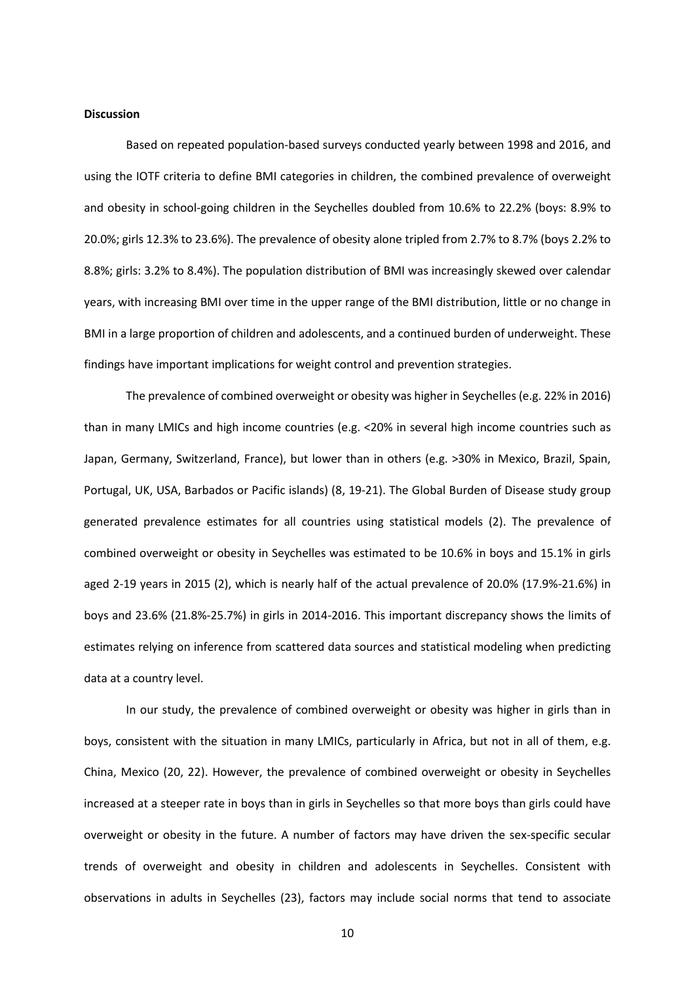#### **Discussion**

Based on repeated population-based surveys conducted yearly between 1998 and 2016, and using the IOTF criteria to define BMI categories in children, the combined prevalence of overweight and obesity in school-going children in the Seychelles doubled from 10.6% to 22.2% (boys: 8.9% to 20.0%; girls 12.3% to 23.6%). The prevalence of obesity alone tripled from 2.7% to 8.7% (boys 2.2% to 8.8%; girls: 3.2% to 8.4%). The population distribution of BMI was increasingly skewed over calendar years, with increasing BMI over time in the upper range of the BMI distribution, little or no change in BMI in a large proportion of children and adolescents, and a continued burden of underweight. These findings have important implications for weight control and prevention strategies.

The prevalence of combined overweight or obesity was higher in Seychelles (e.g. 22% in 2016) than in many LMICs and high income countries (e.g. <20% in several high income countries such as Japan, Germany, Switzerland, France), but lower than in others (e.g. >30% in Mexico, Brazil, Spain, Portugal, UK, USA, Barbados or Pacific islands) (8, 19-21). The Global Burden of Disease study group generated prevalence estimates for all countries using statistical models (2). The prevalence of combined overweight or obesity in Seychelles was estimated to be 10.6% in boys and 15.1% in girls aged 2-19 years in 2015 (2), which is nearly half of the actual prevalence of 20.0% (17.9%-21.6%) in boys and 23.6% (21.8%-25.7%) in girls in 2014-2016. This important discrepancy shows the limits of estimates relying on inference from scattered data sources and statistical modeling when predicting data at a country level.

In our study, the prevalence of combined overweight or obesity was higher in girls than in boys, consistent with the situation in many LMICs, particularly in Africa, but not in all of them, e.g. China, Mexico (20, 22). However, the prevalence of combined overweight or obesity in Seychelles increased at a steeper rate in boys than in girls in Seychelles so that more boys than girls could have overweight or obesity in the future. A number of factors may have driven the sex-specific secular trends of overweight and obesity in children and adolescents in Seychelles. Consistent with observations in adults in Seychelles (23), factors may include social norms that tend to associate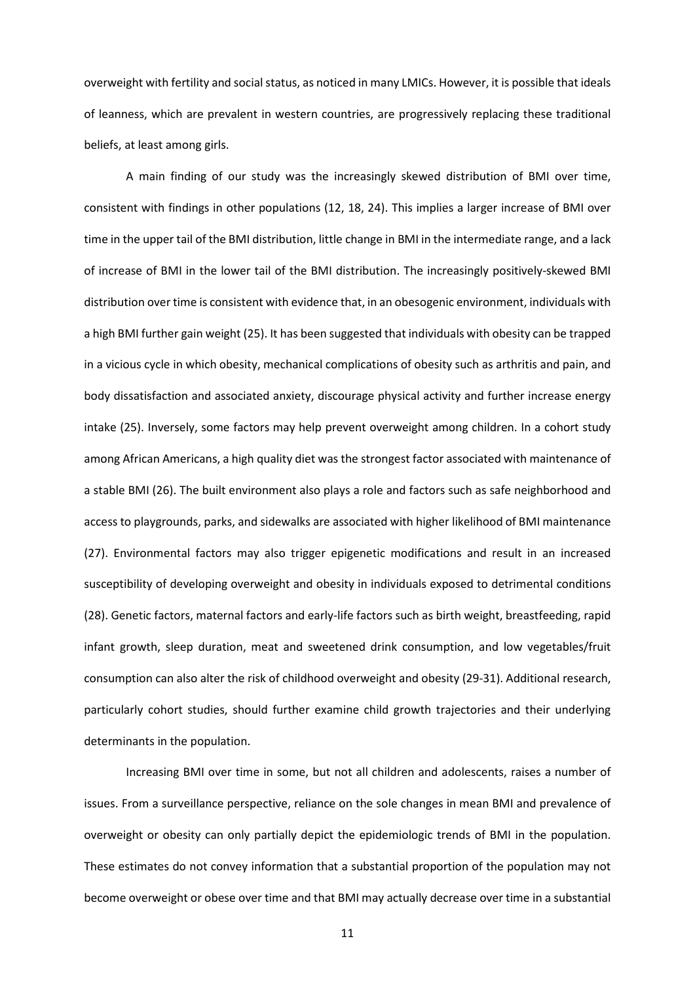overweight with fertility and social status, as noticed in many LMICs. However, it is possible that ideals of leanness, which are prevalent in western countries, are progressively replacing these traditional beliefs, at least among girls.

A main finding of our study was the increasingly skewed distribution of BMI over time, consistent with findings in other populations (12, 18, 24). This implies a larger increase of BMI over time in the upper tail of the BMI distribution, little change in BMI in the intermediate range, and a lack of increase of BMI in the lower tail of the BMI distribution. The increasingly positively-skewed BMI distribution over time is consistent with evidence that, in an obesogenic environment, individuals with a high BMI further gain weight (25). It has been suggested that individuals with obesity can be trapped in a vicious cycle in which obesity, mechanical complications of obesity such as arthritis and pain, and body dissatisfaction and associated anxiety, discourage physical activity and further increase energy intake (25). Inversely, some factors may help prevent overweight among children. In a cohort study among African Americans, a high quality diet was the strongest factor associated with maintenance of a stable BMI (26). The built environment also plays a role and factors such as safe neighborhood and access to playgrounds, parks, and sidewalks are associated with higher likelihood of BMI maintenance (27). Environmental factors may also trigger epigenetic modifications and result in an increased susceptibility of developing overweight and obesity in individuals exposed to detrimental conditions (28). Genetic factors, maternal factors and early-life factors such as birth weight, breastfeeding, rapid infant growth, sleep duration, meat and sweetened drink consumption, and low vegetables/fruit consumption can also alter the risk of childhood overweight and obesity (29-31). Additional research, particularly cohort studies, should further examine child growth trajectories and their underlying determinants in the population.

Increasing BMI over time in some, but not all children and adolescents, raises a number of issues. From a surveillance perspective, reliance on the sole changes in mean BMI and prevalence of overweight or obesity can only partially depict the epidemiologic trends of BMI in the population. These estimates do not convey information that a substantial proportion of the population may not become overweight or obese over time and that BMI may actually decrease over time in a substantial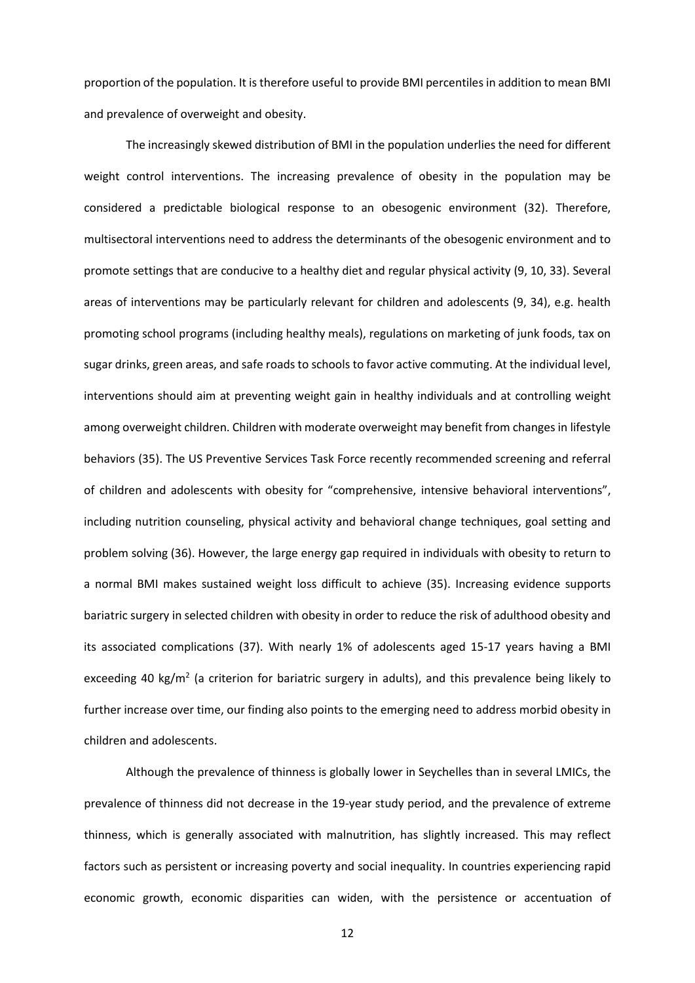proportion of the population. It is therefore useful to provide BMI percentiles in addition to mean BMI and prevalence of overweight and obesity.

The increasingly skewed distribution of BMI in the population underlies the need for different weight control interventions. The increasing prevalence of obesity in the population may be considered a predictable biological response to an obesogenic environment (32). Therefore, multisectoral interventions need to address the determinants of the obesogenic environment and to promote settings that are conducive to a healthy diet and regular physical activity (9, 10, 33). Several areas of interventions may be particularly relevant for children and adolescents (9, 34), e.g. health promoting school programs (including healthy meals), regulations on marketing of junk foods, tax on sugar drinks, green areas, and safe roads to schools to favor active commuting. At the individual level, interventions should aim at preventing weight gain in healthy individuals and at controlling weight among overweight children. Children with moderate overweight may benefit from changes in lifestyle behaviors (35). The US Preventive Services Task Force recently recommended screening and referral of children and adolescents with obesity for "comprehensive, intensive behavioral interventions", including nutrition counseling, physical activity and behavioral change techniques, goal setting and problem solving (36). However, the large energy gap required in individuals with obesity to return to a normal BMI makes sustained weight loss difficult to achieve (35). Increasing evidence supports bariatric surgery in selected children with obesity in order to reduce the risk of adulthood obesity and its associated complications (37). With nearly 1% of adolescents aged 15-17 years having a BMI exceeding 40 kg/m<sup>2</sup> (a criterion for bariatric surgery in adults), and this prevalence being likely to further increase over time, our finding also points to the emerging need to address morbid obesity in children and adolescents.

Although the prevalence of thinness is globally lower in Seychelles than in several LMICs, the prevalence of thinness did not decrease in the 19-year study period, and the prevalence of extreme thinness, which is generally associated with malnutrition, has slightly increased. This may reflect factors such as persistent or increasing poverty and social inequality. In countries experiencing rapid economic growth, economic disparities can widen, with the persistence or accentuation of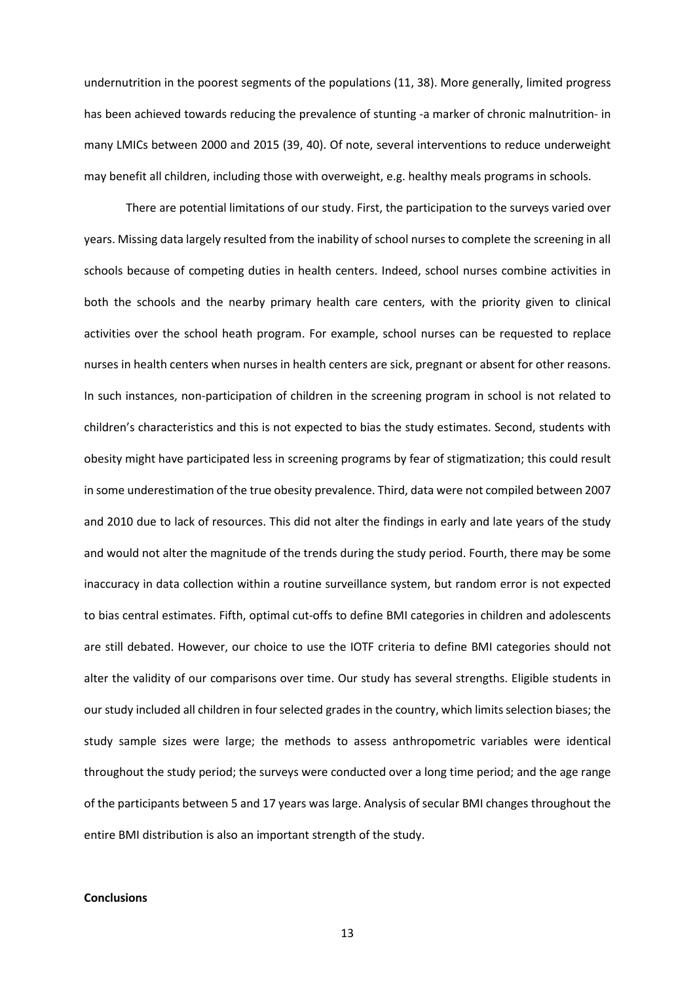undernutrition in the poorest segments of the populations (11, 38). More generally, limited progress has been achieved towards reducing the prevalence of stunting -a marker of chronic malnutrition- in many LMICs between 2000 and 2015 (39, 40). Of note, several interventions to reduce underweight may benefit all children, including those with overweight, e.g. healthy meals programs in schools.

There are potential limitations of our study. First, the participation to the surveys varied over years. Missing data largely resulted from the inability of school nurses to complete the screening in all schools because of competing duties in health centers. Indeed, school nurses combine activities in both the schools and the nearby primary health care centers, with the priority given to clinical activities over the school heath program. For example, school nurses can be requested to replace nurses in health centers when nurses in health centers are sick, pregnant or absent for other reasons. In such instances, non-participation of children in the screening program in school is not related to children's characteristics and this is not expected to bias the study estimates. Second, students with obesity might have participated less in screening programs by fear of stigmatization; this could result in some underestimation of the true obesity prevalence. Third, data were not compiled between 2007 and 2010 due to lack of resources. This did not alter the findings in early and late years of the study and would not alter the magnitude of the trends during the study period. Fourth, there may be some inaccuracy in data collection within a routine surveillance system, but random error is not expected to bias central estimates. Fifth, optimal cut-offs to define BMI categories in children and adolescents are still debated. However, our choice to use the IOTF criteria to define BMI categories should not alter the validity of our comparisons over time. Our study has several strengths. Eligible students in our study included all children in four selected grades in the country, which limitsselection biases; the study sample sizes were large; the methods to assess anthropometric variables were identical throughout the study period; the surveys were conducted over a long time period; and the age range of the participants between 5 and 17 years was large. Analysis of secular BMI changes throughout the entire BMI distribution is also an important strength of the study.

#### **Conclusions**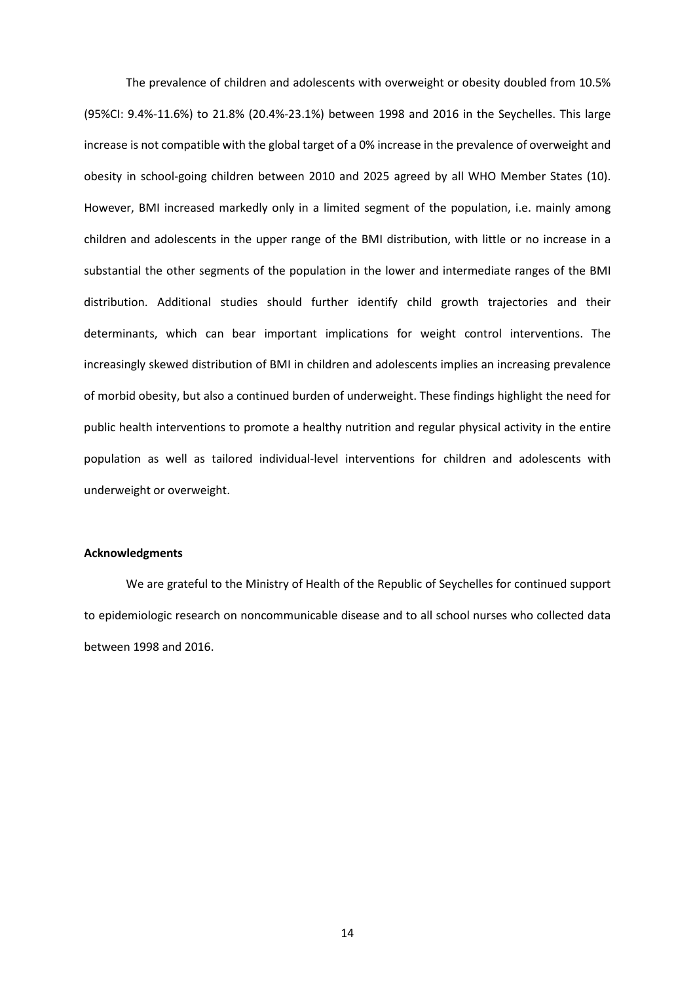The prevalence of children and adolescents with overweight or obesity doubled from 10.5% (95%CI: 9.4%-11.6%) to 21.8% (20.4%-23.1%) between 1998 and 2016 in the Seychelles. This large increase is not compatible with the global target of a 0% increase in the prevalence of overweight and obesity in school-going children between 2010 and 2025 agreed by all WHO Member States (10). However, BMI increased markedly only in a limited segment of the population, i.e. mainly among children and adolescents in the upper range of the BMI distribution, with little or no increase in a substantial the other segments of the population in the lower and intermediate ranges of the BMI distribution. Additional studies should further identify child growth trajectories and their determinants, which can bear important implications for weight control interventions. The increasingly skewed distribution of BMI in children and adolescents implies an increasing prevalence of morbid obesity, but also a continued burden of underweight. These findings highlight the need for public health interventions to promote a healthy nutrition and regular physical activity in the entire population as well as tailored individual-level interventions for children and adolescents with underweight or overweight.

#### **Acknowledgments**

We are grateful to the Ministry of Health of the Republic of Seychelles for continued support to epidemiologic research on noncommunicable disease and to all school nurses who collected data between 1998 and 2016.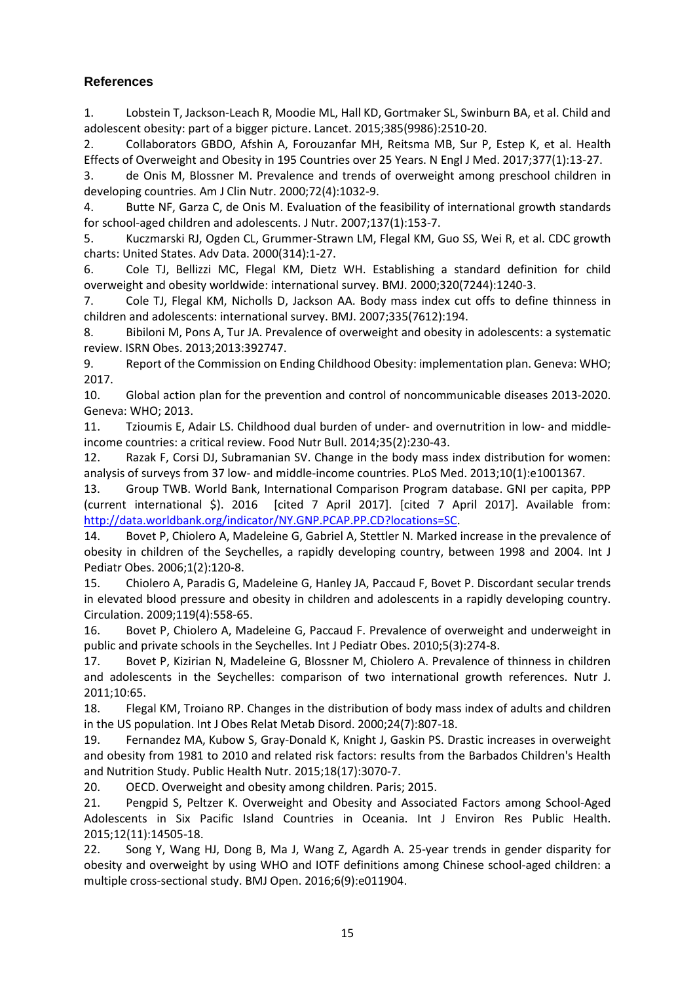# **References**

1. Lobstein T, Jackson-Leach R, Moodie ML, Hall KD, Gortmaker SL, Swinburn BA, et al. Child and adolescent obesity: part of a bigger picture. Lancet. 2015;385(9986):2510-20.

2. Collaborators GBDO, Afshin A, Forouzanfar MH, Reitsma MB, Sur P, Estep K, et al. Health Effects of Overweight and Obesity in 195 Countries over 25 Years. N Engl J Med. 2017;377(1):13-27.

3. de Onis M, Blossner M. Prevalence and trends of overweight among preschool children in developing countries. Am J Clin Nutr. 2000;72(4):1032-9.

4. Butte NF, Garza C, de Onis M. Evaluation of the feasibility of international growth standards for school-aged children and adolescents. J Nutr. 2007;137(1):153-7.

5. Kuczmarski RJ, Ogden CL, Grummer-Strawn LM, Flegal KM, Guo SS, Wei R, et al. CDC growth charts: United States. Adv Data. 2000(314):1-27.

6. Cole TJ, Bellizzi MC, Flegal KM, Dietz WH. Establishing a standard definition for child overweight and obesity worldwide: international survey. BMJ. 2000;320(7244):1240-3.

7. Cole TJ, Flegal KM, Nicholls D, Jackson AA. Body mass index cut offs to define thinness in children and adolescents: international survey. BMJ. 2007;335(7612):194.

8. Bibiloni M, Pons A, Tur JA. Prevalence of overweight and obesity in adolescents: a systematic review. ISRN Obes. 2013;2013:392747.

9. Report of the Commission on Ending Childhood Obesity: implementation plan. Geneva: WHO; 2017.

10. Global action plan for the prevention and control of noncommunicable diseases 2013-2020. Geneva: WHO; 2013.

11. Tzioumis E, Adair LS. Childhood dual burden of under- and overnutrition in low- and middleincome countries: a critical review. Food Nutr Bull. 2014;35(2):230-43.

12. Razak F, Corsi DJ, Subramanian SV. Change in the body mass index distribution for women: analysis of surveys from 37 low- and middle-income countries. PLoS Med. 2013;10(1):e1001367.

13. Group TWB. World Bank, International Comparison Program database. GNI per capita, PPP (current international \$). 2016 [cited 7 April 2017]. [cited 7 April 2017]. Available from: [http://data.worldbank.org/indicator/NY.GNP.PCAP.PP.CD?locations=SC.](http://data.worldbank.org/indicator/NY.GNP.PCAP.PP.CD?locations=SC)

14. Bovet P, Chiolero A, Madeleine G, Gabriel A, Stettler N. Marked increase in the prevalence of obesity in children of the Seychelles, a rapidly developing country, between 1998 and 2004. Int J Pediatr Obes. 2006;1(2):120-8.

15. Chiolero A, Paradis G, Madeleine G, Hanley JA, Paccaud F, Bovet P. Discordant secular trends in elevated blood pressure and obesity in children and adolescents in a rapidly developing country. Circulation. 2009;119(4):558-65.

16. Bovet P, Chiolero A, Madeleine G, Paccaud F. Prevalence of overweight and underweight in public and private schools in the Seychelles. Int J Pediatr Obes. 2010;5(3):274-8.

17. Bovet P, Kizirian N, Madeleine G, Blossner M, Chiolero A. Prevalence of thinness in children and adolescents in the Seychelles: comparison of two international growth references. Nutr J. 2011;10:65.

18. Flegal KM, Troiano RP. Changes in the distribution of body mass index of adults and children in the US population. Int J Obes Relat Metab Disord. 2000;24(7):807-18.

19. Fernandez MA, Kubow S, Gray-Donald K, Knight J, Gaskin PS. Drastic increases in overweight and obesity from 1981 to 2010 and related risk factors: results from the Barbados Children's Health and Nutrition Study. Public Health Nutr. 2015;18(17):3070-7.

20. OECD. Overweight and obesity among children. Paris; 2015.

21. Pengpid S, Peltzer K. Overweight and Obesity and Associated Factors among School-Aged Adolescents in Six Pacific Island Countries in Oceania. Int J Environ Res Public Health. 2015;12(11):14505-18.

22. Song Y, Wang HJ, Dong B, Ma J, Wang Z, Agardh A. 25-year trends in gender disparity for obesity and overweight by using WHO and IOTF definitions among Chinese school-aged children: a multiple cross-sectional study. BMJ Open. 2016;6(9):e011904.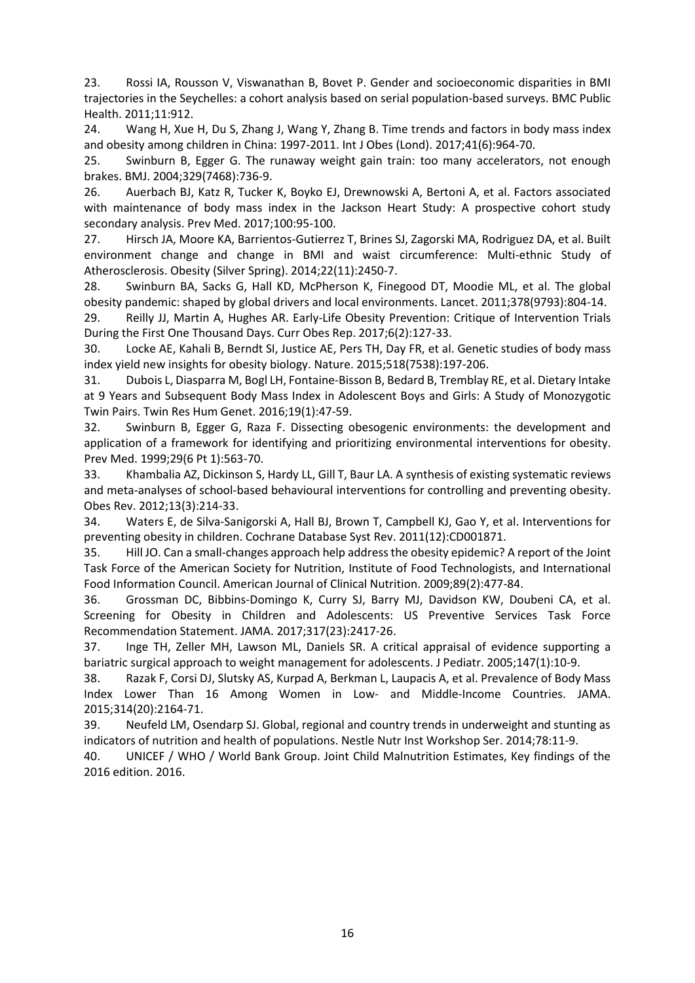23. Rossi IA, Rousson V, Viswanathan B, Bovet P. Gender and socioeconomic disparities in BMI trajectories in the Seychelles: a cohort analysis based on serial population-based surveys. BMC Public Health. 2011;11:912.

24. Wang H, Xue H, Du S, Zhang J, Wang Y, Zhang B. Time trends and factors in body mass index and obesity among children in China: 1997-2011. Int J Obes (Lond). 2017;41(6):964-70.

25. Swinburn B, Egger G. The runaway weight gain train: too many accelerators, not enough brakes. BMJ. 2004;329(7468):736-9.

26. Auerbach BJ, Katz R, Tucker K, Boyko EJ, Drewnowski A, Bertoni A, et al. Factors associated with maintenance of body mass index in the Jackson Heart Study: A prospective cohort study secondary analysis. Prev Med. 2017;100:95-100.

27. Hirsch JA, Moore KA, Barrientos-Gutierrez T, Brines SJ, Zagorski MA, Rodriguez DA, et al. Built environment change and change in BMI and waist circumference: Multi-ethnic Study of Atherosclerosis. Obesity (Silver Spring). 2014;22(11):2450-7.

28. Swinburn BA, Sacks G, Hall KD, McPherson K, Finegood DT, Moodie ML, et al. The global obesity pandemic: shaped by global drivers and local environments. Lancet. 2011;378(9793):804-14.

29. Reilly JJ, Martin A, Hughes AR. Early-Life Obesity Prevention: Critique of Intervention Trials During the First One Thousand Days. Curr Obes Rep. 2017;6(2):127-33.

30. Locke AE, Kahali B, Berndt SI, Justice AE, Pers TH, Day FR, et al. Genetic studies of body mass index yield new insights for obesity biology. Nature. 2015;518(7538):197-206.

31. Dubois L, Diasparra M, Bogl LH, Fontaine-Bisson B, Bedard B, Tremblay RE, et al. Dietary Intake at 9 Years and Subsequent Body Mass Index in Adolescent Boys and Girls: A Study of Monozygotic Twin Pairs. Twin Res Hum Genet. 2016;19(1):47-59.

32. Swinburn B, Egger G, Raza F. Dissecting obesogenic environments: the development and application of a framework for identifying and prioritizing environmental interventions for obesity. Prev Med. 1999;29(6 Pt 1):563-70.

33. Khambalia AZ, Dickinson S, Hardy LL, Gill T, Baur LA. A synthesis of existing systematic reviews and meta-analyses of school-based behavioural interventions for controlling and preventing obesity. Obes Rev. 2012;13(3):214-33.

34. Waters E, de Silva-Sanigorski A, Hall BJ, Brown T, Campbell KJ, Gao Y, et al. Interventions for preventing obesity in children. Cochrane Database Syst Rev. 2011(12):CD001871.

35. Hill JO. Can a small-changes approach help address the obesity epidemic? A report of the Joint Task Force of the American Society for Nutrition, Institute of Food Technologists, and International Food Information Council. American Journal of Clinical Nutrition. 2009;89(2):477-84.

36. Grossman DC, Bibbins-Domingo K, Curry SJ, Barry MJ, Davidson KW, Doubeni CA, et al. Screening for Obesity in Children and Adolescents: US Preventive Services Task Force Recommendation Statement. JAMA. 2017;317(23):2417-26.

37. Inge TH, Zeller MH, Lawson ML, Daniels SR. A critical appraisal of evidence supporting a bariatric surgical approach to weight management for adolescents. J Pediatr. 2005;147(1):10-9.

38. Razak F, Corsi DJ, Slutsky AS, Kurpad A, Berkman L, Laupacis A, et al. Prevalence of Body Mass Index Lower Than 16 Among Women in Low- and Middle-Income Countries. JAMA. 2015;314(20):2164-71.

39. Neufeld LM, Osendarp SJ. Global, regional and country trends in underweight and stunting as indicators of nutrition and health of populations. Nestle Nutr Inst Workshop Ser. 2014;78:11-9.

40. UNICEF / WHO / World Bank Group. Joint Child Malnutrition Estimates, Key findings of the 2016 edition. 2016.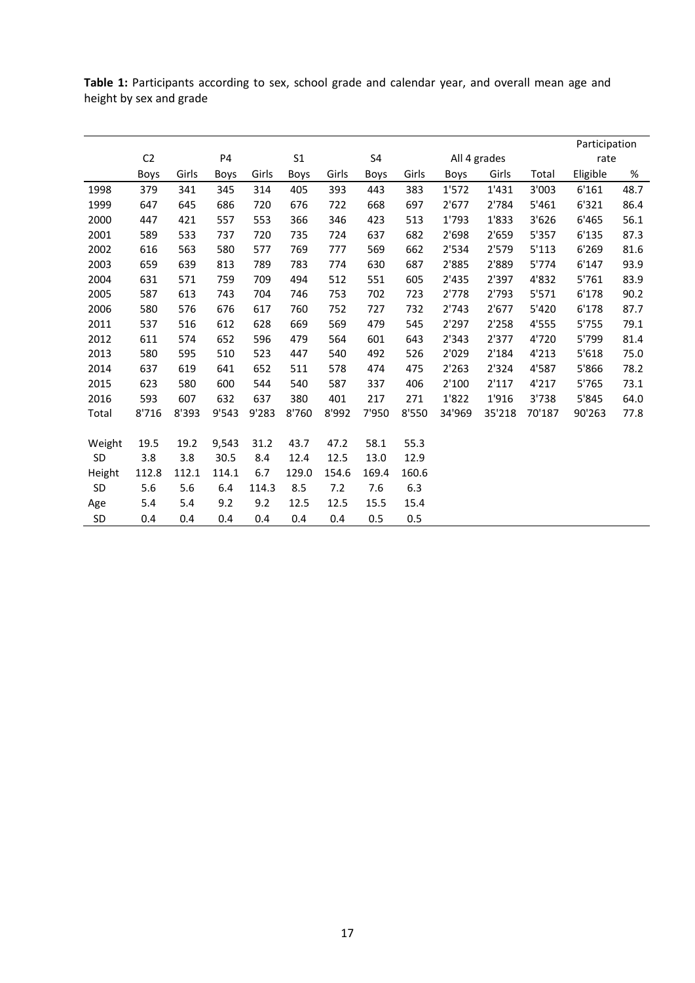|           |                |       |             |       |                |       |       |       |        | Participation  |        |          |      |  |  |
|-----------|----------------|-------|-------------|-------|----------------|-------|-------|-------|--------|----------------|--------|----------|------|--|--|
|           | C <sub>2</sub> | P4    |             |       | S <sub>1</sub> |       |       |       |        | All 4 grades   |        |          | rate |  |  |
|           | Boys           | Girls | <b>Boys</b> | Girls | Boys           | Girls | Boys  | Girls | Boys   | Girls          | Total  | Eligible | %    |  |  |
| 1998      | 379            | 341   | 345         | 314   | 405            | 393   | 443   | 383   | 1'572  | 1'431          | 3'003  | 6'161    | 48.7 |  |  |
| 1999      | 647            | 645   | 686         | 720   | 676            | 722   | 668   | 697   | 2'677  | 2'784          | 5'461  | 6'321    | 86.4 |  |  |
| 2000      | 447            | 421   | 557         | 553   | 366            | 346   | 423   | 513   | 1'793  | 1'833          | 3'626  | 6'465    | 56.1 |  |  |
| 2001      | 589            | 533   | 737         | 720   | 735            | 724   | 637   | 682   | 2'698  | 2'659          | 5'357  | 6'135    | 87.3 |  |  |
| 2002      | 616            | 563   | 580         | 577   | 769            | 777   | 569   | 662   | 2'534  | 2'579          | 5'113  | 6'269    | 81.6 |  |  |
| 2003      | 659            | 639   | 813         | 789   | 783            | 774   | 630   | 687   | 2'885  | 2'889          | 5'774  | 6'147    | 93.9 |  |  |
| 2004      | 631            | 571   | 759         | 709   | 494            | 512   | 551   | 605   | 2'435  | 2'397          | 4'832  | 5'761    | 83.9 |  |  |
| 2005      | 587            | 613   | 743         | 704   | 746            | 753   | 702   | 723   | 2'778  | 2'793<br>5'571 |        | 6'178    | 90.2 |  |  |
| 2006      | 580            | 576   | 676         | 617   | 760            | 752   | 727   | 732   | 2'743  | 2'677          | 5'420  | 6'178    | 87.7 |  |  |
| 2011      | 537            | 516   | 612         | 628   | 669            | 569   | 479   | 545   | 2'297  | 2'258          | 4'555  | 5'755    | 79.1 |  |  |
| 2012      | 611            | 574   | 652         | 596   | 479            | 564   | 601   | 643   | 2'343  | 2'377          | 4'720  | 5'799    | 81.4 |  |  |
| 2013      | 580            | 595   | 510         | 523   | 447            | 540   | 492   | 526   | 2'029  | 2'184          | 4'213  | 5'618    | 75.0 |  |  |
| 2014      | 637            | 619   | 641         | 652   | 511            | 578   | 474   | 475   | 2'263  | 2'324          | 4'587  | 5'866    | 78.2 |  |  |
| 2015      | 623            | 580   | 600         | 544   | 540            | 587   | 337   | 406   | 2'100  | 2'117          | 4'217  | 5'765    | 73.1 |  |  |
| 2016      | 593            | 607   | 632         | 637   | 380            | 401   | 217   | 271   | 1'822  | 1'916          | 3'738  | 5'845    | 64.0 |  |  |
| Total     | 8'716          | 8'393 | 9'543       | 9'283 | 8'760          | 8'992 | 7'950 | 8'550 | 34'969 | 35'218         | 70'187 | 90'263   | 77.8 |  |  |
|           |                |       |             |       |                |       |       |       |        |                |        |          |      |  |  |
| Weight    | 19.5           | 19.2  | 9,543       | 31.2  | 43.7           | 47.2  | 58.1  | 55.3  |        |                |        |          |      |  |  |
| SD        | 3.8            | 3.8   | 30.5        | 8.4   | 12.4           | 12.5  | 13.0  | 12.9  |        |                |        |          |      |  |  |
| Height    | 112.8          | 112.1 | 114.1       | 6.7   | 129.0          | 154.6 | 169.4 | 160.6 |        |                |        |          |      |  |  |
| <b>SD</b> | 5.6            | 5.6   | 6.4         | 114.3 | 8.5            | 7.2   | 7.6   | 6.3   |        |                |        |          |      |  |  |
| Age       | 5.4            | 5.4   | 9.2         | 9.2   | 12.5           | 12.5  | 15.5  | 15.4  |        |                |        |          |      |  |  |
| <b>SD</b> | 0.4            | 0.4   | 0.4         | 0.4   | 0.4            | 0.4   | 0.5   | 0.5   |        |                |        |          |      |  |  |

**Table 1:** Participants according to sex, school grade and calendar year, and overall mean age and height by sex and grade